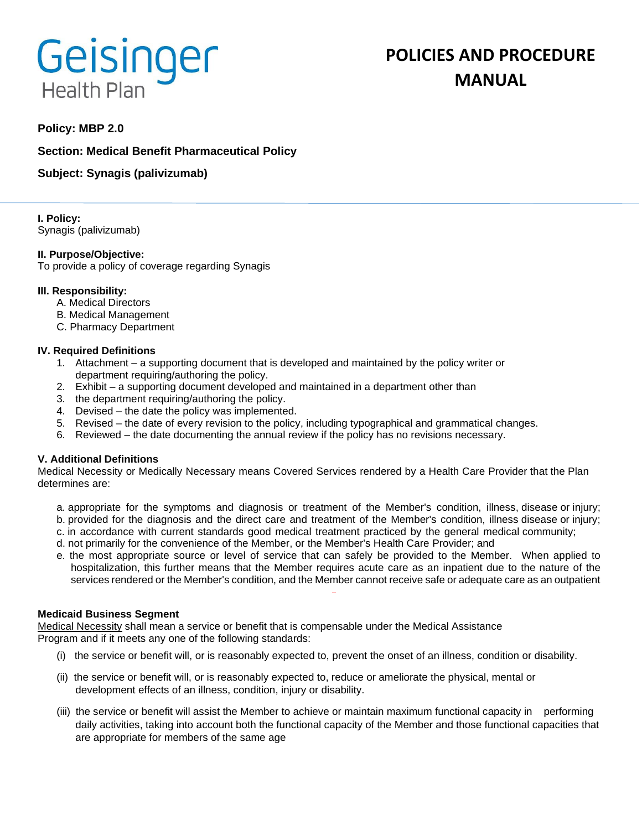# Geisinger **Health Plan**

# **Policy: MBP 2.0**

# **Section: Medical Benefit Pharmaceutical Policy**

# **Subject: Synagis (palivizumab)**

#### **I. Policy:** Synagis (palivizumab)

### **II. Purpose/Objective:**

To provide a policy of coverage regarding Synagis

### **III. Responsibility:**

- A. Medical Directors
- B. Medical Management
- C. Pharmacy Department

## **IV. Required Definitions**

- 1. Attachment a supporting document that is developed and maintained by the policy writer or department requiring/authoring the policy.
- 2. Exhibit a supporting document developed and maintained in a department other than
- 3. the department requiring/authoring the policy.
- 4. Devised the date the policy was implemented.
- 5. Revised the date of every revision to the policy, including typographical and grammatical changes.
- 6. Reviewed the date documenting the annual review if the policy has no revisions necessary.

## **V. Additional Definitions**

Medical Necessity or Medically Necessary means Covered Services rendered by a Health Care Provider that the Plan determines are:

- a. appropriate for the symptoms and diagnosis or treatment of the Member's condition, illness, disease or injury;
- b. provided for the diagnosis and the direct care and treatment of the Member's condition, illness disease or injury;
- c. in accordance with current standards good medical treatment practiced by the general medical community;
- d. not primarily for the convenience of the Member, or the Member's Health Care Provider; and
- e. the most appropriate source or level of service that can safely be provided to the Member. When applied to hospitalization, this further means that the Member requires acute care as an inpatient due to the nature of the services rendered or the Member's condition, and the Member cannot receive safe or adequate care as an outpatient

#### **Medicaid Business Segment**

Medical Necessity shall mean a service or benefit that is compensable under the Medical Assistance Program and if it meets any one of the following standards:

- (i) the service or benefit will, or is reasonably expected to, prevent the onset of an illness, condition or disability.
- (ii) the service or benefit will, or is reasonably expected to, reduce or ameliorate the physical, mental or development effects of an illness, condition, injury or disability.
- (iii) the service or benefit will assist the Member to achieve or maintain maximum functional capacity in performing daily activities, taking into account both the functional capacity of the Member and those functional capacities that are appropriate for members of the same age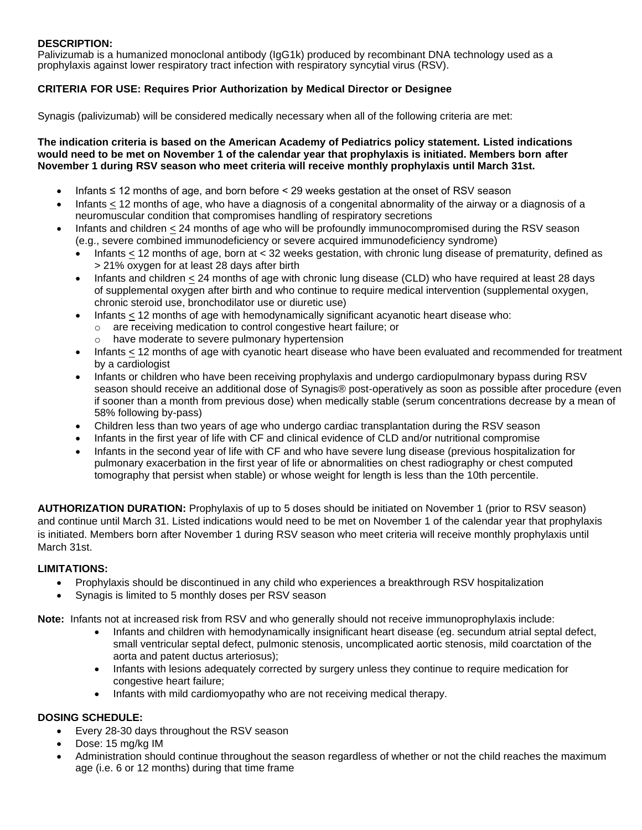## **DESCRIPTION:**

Palivizumab is a humanized monoclonal antibody (IgG1k) produced by recombinant DNA technology used as a prophylaxis against lower respiratory tract infection with respiratory syncytial virus (RSV).

# **CRITERIA FOR USE: Requires Prior Authorization by Medical Director or Designee**

Synagis (palivizumab) will be considered medically necessary when all of the following criteria are met:

**The indication criteria is based on the American Academy of Pediatrics policy statement. Listed indications would need to be met on November 1 of the calendar year that prophylaxis is initiated. Members born after November 1 during RSV season who meet criteria will receive monthly prophylaxis until March 31st.**

- Infants ≤ 12 months of age, and born before < 29 weeks gestation at the onset of RSV season
- Infants < 12 months of age, who have a diagnosis of a congenital abnormality of the airway or a diagnosis of a neuromuscular condition that compromises handling of respiratory secretions
- Infants and children < 24 months of age who will be profoundly immunocompromised during the RSV season (e.g., severe combined immunodeficiency or severe acquired immunodeficiency syndrome)
	- Infants < 12 months of age, born at < 32 weeks gestation, with chronic lung disease of prematurity, defined as > 21% oxygen for at least 28 days after birth
	- Infants and children < 24 months of age with chronic lung disease (CLD) who have required at least 28 days of supplemental oxygen after birth and who continue to require medical intervention (supplemental oxygen, chronic steroid use, bronchodilator use or diuretic use)
	- Infants < 12 months of age with hemodynamically significant acyanotic heart disease who:
		- o are receiving medication to control congestive heart failure; or
			- o have moderate to severe pulmonary hypertension
	- Infants < 12 months of age with cyanotic heart disease who have been evaluated and recommended for treatment by a cardiologist
	- Infants or children who have been receiving prophylaxis and undergo cardiopulmonary bypass during RSV season should receive an additional dose of Synagis® post-operatively as soon as possible after procedure (even if sooner than a month from previous dose) when medically stable (serum concentrations decrease by a mean of 58% following by-pass)
	- Children less than two years of age who undergo cardiac transplantation during the RSV season
	- Infants in the first year of life with CF and clinical evidence of CLD and/or nutritional compromise
	- Infants in the second year of life with CF and who have severe lung disease (previous hospitalization for pulmonary exacerbation in the first year of life or abnormalities on chest radiography or chest computed tomography that persist when stable) or whose weight for length is less than the 10th percentile.

**AUTHORIZATION DURATION:** Prophylaxis of up to 5 doses should be initiated on November 1 (prior to RSV season) and continue until March 31. Listed indications would need to be met on November 1 of the calendar year that prophylaxis is initiated. Members born after November 1 during RSV season who meet criteria will receive monthly prophylaxis until March 31st.

#### **LIMITATIONS:**

- Prophylaxis should be discontinued in any child who experiences a breakthrough RSV hospitalization
- Synagis is limited to 5 monthly doses per RSV season

**Note:** Infants not at increased risk from RSV and who generally should not receive immunoprophylaxis include:

- Infants and children with hemodynamically insignificant heart disease (eg. secundum atrial septal defect, small ventricular septal defect, pulmonic stenosis, uncomplicated aortic stenosis, mild coarctation of the aorta and patent ductus arteriosus);
- Infants with lesions adequately corrected by surgery unless they continue to require medication for congestive heart failure;
- Infants with mild cardiomyopathy who are not receiving medical therapy.

## **DOSING SCHEDULE:**

- Every 28-30 days throughout the RSV season
- Dose: 15 mg/kg IM
- Administration should continue throughout the season regardless of whether or not the child reaches the maximum age (i.e. 6 or 12 months) during that time frame